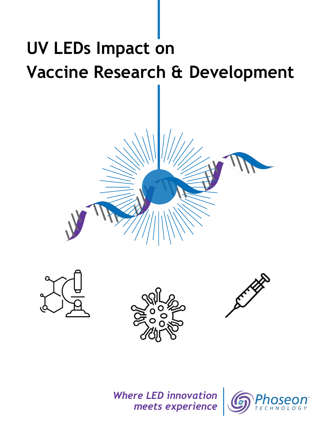# **UV LEDs Impact on Vaccine Research & Development**









### *Where LED innovation meets experience*

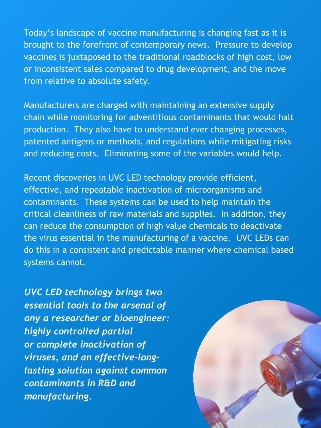Today's landscape of vaccine manufacturing is changing fast as it is brought to the forefront of contemporary news. Pressure to develop vaccines is juxtaposed to the traditional roadblocks of high cost, low or inconsistent sales compared to drug development, and the move from relative to absolute safety.

Manufacturers are charged with maintaining an extensive supply chain while monitoring for adventitious contaminants that would halt production. They also have to understand ever changing processes, patented antigens or methods, and regulations while mitigating risks and reducing costs. Eliminating some of the variables would help.

Recent discoveries in UVC LED technology provide efficient, effective, and repeatable inactivation of microorganisms and contaminants. These systems can be used to help maintain the critical cleanliness of raw materials and supplies. In addition, they can reduce the consumption of high value chemicals to deactivate the virus essential in the manufacturing of a vaccine. UVC LEDs can

do this in a consistent and predictable manner where chemical based systems cannot.

*UVC LED technology brings two essential tools to the arsenal of any a researcher or bioengineer: highly controlled partial or complete inactivation of viruses, and an effective-longlasting solution against common contaminants in R&D and manufacturing.*

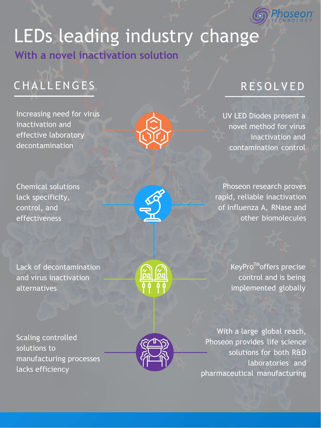

# LEDs leading industry change **With a novel inactivation solution**

# CHALLENGES RESOLVED

Increasing need for virus inactivation and effective laboratory decontamination

Chemical solutions lack specificity, control, and effectiveness



Lack of decontamination and virus inactivation alternatives



KeyPro<sup>™</sup>offers precise control and is being implemented globally

Scaling controlled solutions to manufacturing processes lacks efficiency



UV LED Diodes present a novel method for virus inactivation and contamination control

Phoseon research proves rapid, reliable inactivation of Influenza A, RNase and other biomolecules



With a large global reach, Phoseon provides life science solutions for both R&D laboratories and pharmaceutical manufacturing